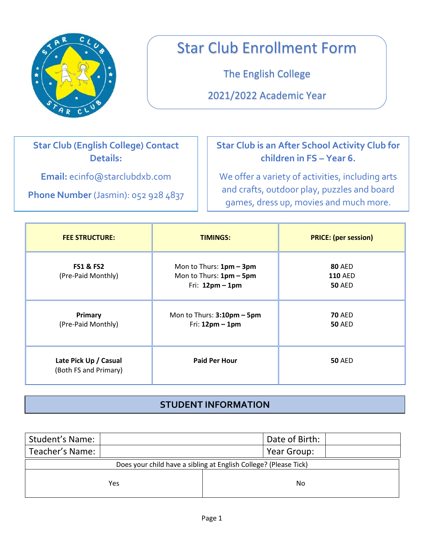

# Star Club Enrollment Form

The English College

2021/2022 Academic Year

## **Star Club (English College) Contact Details:**

**Email:** ecinfo@starclubdxb.com

**Phone Number** (Jasmin): 052 928 4837

## **Star Club is an After School Activity Club for children in FS – Year 6.**

We offer a variety of activities, including arts and crafts, outdoor play, puzzles and board games, dress up, movies and much more.

| <b>FEE STRUCTURE:</b>                          | <b>TIMINGS:</b>                                                         | <b>PRICE: (per session)</b>                      |
|------------------------------------------------|-------------------------------------------------------------------------|--------------------------------------------------|
| <b>FS1 &amp; FS2</b><br>(Pre-Paid Monthly)     | Mon to Thurs: 1pm - 3pm<br>Mon to Thurs: 1pm - 5pm<br>Fri: $12pm - 1pm$ | <b>80 AED</b><br><b>110 AED</b><br><b>50 AED</b> |
| Primary<br>(Pre-Paid Monthly)                  | Mon to Thurs: 3:10pm - 5pm<br>Fri: $12pm - 1pm$                         | <b>70 AED</b><br><b>50 AED</b>                   |
| Late Pick Up / Casual<br>(Both FS and Primary) | <b>Paid Per Hour</b>                                                    | <b>50 AED</b>                                    |

### **STUDENT INFORMATION**

| <b>Student's Name:</b>                                           |     |  | Date of Birth: |  |
|------------------------------------------------------------------|-----|--|----------------|--|
| Teacher's Name:                                                  |     |  | Year Group:    |  |
| Does your child have a sibling at English College? (Please Tick) |     |  |                |  |
|                                                                  | Yes |  | No             |  |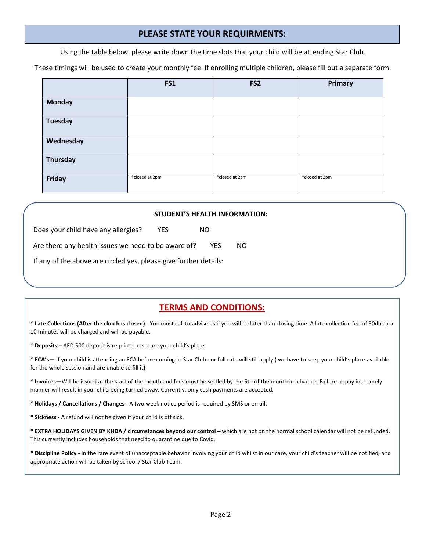#### **PLEASE STATE YOUR REQUIRMENTS:**

Using the table below, please write down the time slots that your child will be attending Star Club.

These timings will be used to create your monthly fee. If enrolling multiple children, please fill out a separate form.

|                | FS1            | FS <sub>2</sub> | <b>Primary</b> |
|----------------|----------------|-----------------|----------------|
| <b>Monday</b>  |                |                 |                |
| <b>Tuesday</b> |                |                 |                |
| Wednesday      |                |                 |                |
| Thursday       |                |                 |                |
| Friday         | *closed at 2pm | *closed at 2pm  | *closed at 2pm |

| <b>STUDENT'S HEALTH INFORMATION:</b>                              |     |  |      |     |  |
|-------------------------------------------------------------------|-----|--|------|-----|--|
| Does your child have any allergies?                               | YES |  | NO.  |     |  |
| Are there any health issues we need to be aware of?               |     |  | YES. | NO. |  |
| If any of the above are circled yes, please give further details: |     |  |      |     |  |
|                                                                   |     |  |      |     |  |

#### **TERMS AND CONDITIONS:**

**\* Late Collections (After the club has closed) -** You must call to advise us if you will be later than closing time. A late collection fee of 50dhs per 10 minutes will be charged and will be payable.

\* **Deposits** – AED 500 deposit is required to secure your child's place.

**\* ECA's—** If your child is attending an ECA before coming to Star Club our full rate will still apply ( we have to keep your child's place available for the whole session and are unable to fill it)

**\* Invoices—**Will be issued at the start of the month and fees must be settled by the 5th of the month in advance. Failure to pay in a timely manner will result in your child being turned away. Currently, only cash payments are accepted.

**\* Holidays / Cancellations / Changes** - A two week notice period is required by SMS or email.

**\* Sickness -** A refund will not be given if your child is off sick.

\* EXTRA HOLIDAYS GIVEN BY KHDA / circumstances beyond our control – which are not on the normal school calendar will not be refunded. This currently includes households that need to quarantine due to Covid.

**\* Discipline Policy -** In the rare event of unacceptable behavior involving your child whilst in our care, your child's teacher will be notified, and appropriate action will be taken by school / Star Club Team.